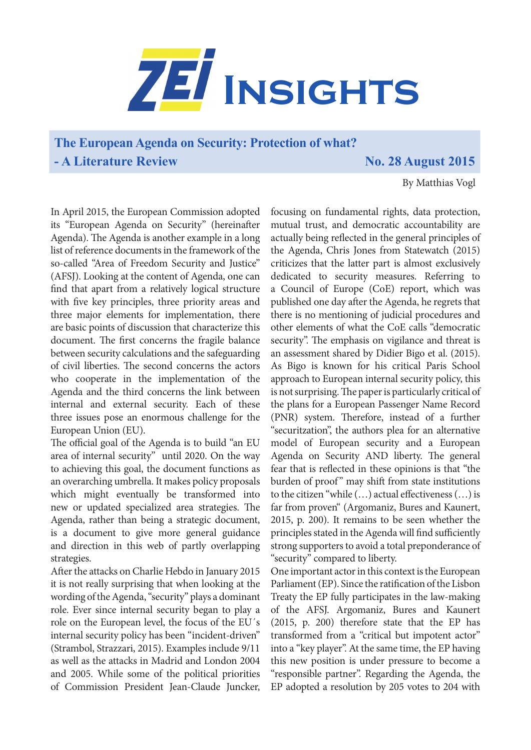

**The European Agenda on Security: Protection of what? - A Literature Review No. 28 August 2015** 

By Matthias Vogl

In April 2015, the European Commission adopted its "European Agenda on Security" (hereinafter Agenda). The Agenda is another example in a long list of reference documents in the framework of the so-called "Area of Freedom Security and Justice" (AFSJ). Looking at the content of Agenda, one can find that apart from a relatively logical structure with five key principles, three priority areas and three major elements for implementation, there are basic points of discussion that characterize this document. The first concerns the fragile balance between security calculations and the safeguarding of civil liberties. The second concerns the actors who cooperate in the implementation of the Agenda and the third concerns the link between internal and external security. Each of these three issues pose an enormous challenge for the European Union (EU).

The official goal of the Agenda is to build "an EU area of internal security" until 2020. On the way to achieving this goal, the document functions as an overarching umbrella. It makes policy proposals which might eventually be transformed into new or updated specialized area strategies. The Agenda, rather than being a strategic document, is a document to give more general guidance and direction in this web of partly overlapping strategies.

After the attacks on Charlie Hebdo in January 2015 it is not really surprising that when looking at the wording of the Agenda, "security" plays a dominant role. Ever since internal security began to play a role on the European level, the focus of the EU´s internal security policy has been "incident-driven" (Strambol, Strazzari, 2015). Examples include 9/11 as well as the attacks in Madrid and London 2004 and 2005. While some of the political priorities of Commission President Jean-Claude Juncker,

focusing on fundamental rights, data protection, mutual trust, and democratic accountability are actually being reflected in the general principles of the Agenda, Chris Jones from Statewatch (2015) criticizes that the latter part is almost exclusively dedicated to security measures. Referring to a Council of Europe (CoE) report, which was published one day after the Agenda, he regrets that there is no mentioning of judicial procedures and other elements of what the CoE calls "democratic security". The emphasis on vigilance and threat is an assessment shared by Didier Bigo et al. (2015). As Bigo is known for his critical Paris School approach to European internal security policy, this is not surprising. The paper is particularly critical of the plans for a European Passenger Name Record (PNR) system. Therefore, instead of a further "securitzation", the authors plea for an alternative model of European security and a European Agenda on Security AND liberty. The general fear that is reflected in these opinions is that "the burden of proof" may shift from state institutions to the citizen "while (…) actual effectiveness (…) is far from proven" (Argomaniz, Bures and Kaunert, 2015, p. 200). It remains to be seen whether the principles stated in the Agenda will find sufficiently strong supporters to avoid a total preponderance of "security" compared to liberty.

One important actor in this context is the European Parliament (EP). Since the ratification of the Lisbon Treaty the EP fully participates in the law-making of the AFSJ. Argomaniz, Bures and Kaunert (2015, p. 200) therefore state that the EP has transformed from a "critical but impotent actor" into a "key player". At the same time, the EP having this new position is under pressure to become a "responsible partner". Regarding the Agenda, the EP adopted a resolution by 205 votes to 204 with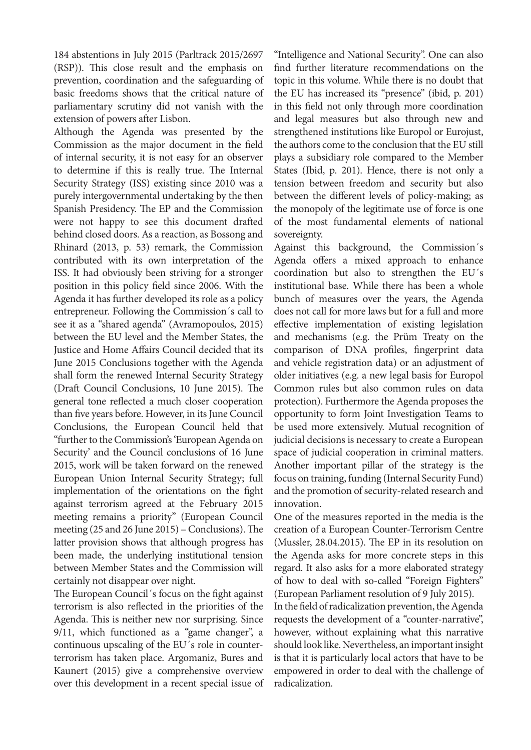184 abstentions in July 2015 (Parltrack 2015/2697 (RSP)). This close result and the emphasis on prevention, coordination and the safeguarding of basic freedoms shows that the critical nature of parliamentary scrutiny did not vanish with the extension of powers after Lisbon.

Although the Agenda was presented by the Commission as the major document in the field of internal security, it is not easy for an observer to determine if this is really true. The Internal Security Strategy (ISS) existing since 2010 was a purely intergovernmental undertaking by the then Spanish Presidency. The EP and the Commission were not happy to see this document drafted behind closed doors. As a reaction, as Bossong and Rhinard (2013, p. 53) remark, the Commission contributed with its own interpretation of the ISS. It had obviously been striving for a stronger position in this policy field since 2006. With the Agenda it has further developed its role as a policy entrepreneur. Following the Commission´s call to see it as a "shared agenda" (Avramopoulos, 2015) between the EU level and the Member States, the Justice and Home Affairs Council decided that its June 2015 Conclusions together with the Agenda shall form the renewed Internal Security Strategy (Draft Council Conclusions, 10 June 2015). The general tone reflected a much closer cooperation than five years before. However, in its June Council Conclusions, the European Council held that "further to the Commission's 'European Agenda on Security' and the Council conclusions of 16 June 2015, work will be taken forward on the renewed European Union Internal Security Strategy; full implementation of the orientations on the fight against terrorism agreed at the February 2015 meeting remains a priority" (European Council meeting (25 and 26 June 2015) – Conclusions). The latter provision shows that although progress has been made, the underlying institutional tension between Member States and the Commission will certainly not disappear over night.

The European Council´s focus on the fight against terrorism is also reflected in the priorities of the Agenda. This is neither new nor surprising. Since 9/11, which functioned as a "game changer", a continuous upscaling of the EU´s role in counterterrorism has taken place. Argomaniz, Bures and Kaunert (2015) give a comprehensive overview over this development in a recent special issue of "Intelligence and National Security". One can also find further literature recommendations on the topic in this volume. While there is no doubt that the EU has increased its "presence" (ibid, p. 201) in this field not only through more coordination and legal measures but also through new and strengthened institutions like Europol or Eurojust, the authors come to the conclusion that the EU still plays a subsidiary role compared to the Member States (Ibid, p. 201). Hence, there is not only a tension between freedom and security but also between the different levels of policy-making; as the monopoly of the legitimate use of force is one of the most fundamental elements of national sovereignty.

Against this background, the Commission´s Agenda offers a mixed approach to enhance coordination but also to strengthen the EU´s institutional base. While there has been a whole bunch of measures over the years, the Agenda does not call for more laws but for a full and more effective implementation of existing legislation and mechanisms (e.g. the Prüm Treaty on the comparison of DNA profiles, fingerprint data and vehicle registration data) or an adjustment of older initiatives (e.g. a new legal basis for Europol Common rules but also common rules on data protection). Furthermore the Agenda proposes the opportunity to form Joint Investigation Teams to be used more extensively. Mutual recognition of judicial decisions is necessary to create a European space of judicial cooperation in criminal matters. Another important pillar of the strategy is the focus on training, funding (Internal Security Fund) and the promotion of security-related research and innovation.

One of the measures reported in the media is the creation of a European Counter-Terrorism Centre (Mussler, 28.04.2015). The EP in its resolution on the Agenda asks for more concrete steps in this regard. It also asks for a more elaborated strategy of how to deal with so-called "Foreign Fighters" (European Parliament resolution of 9 July 2015). In the field of radicalization prevention, the Agenda requests the development of a "counter-narrative", however, without explaining what this narrative should look like. Nevertheless, an important insight is that it is particularly local actors that have to be empowered in order to deal with the challenge of radicalization.